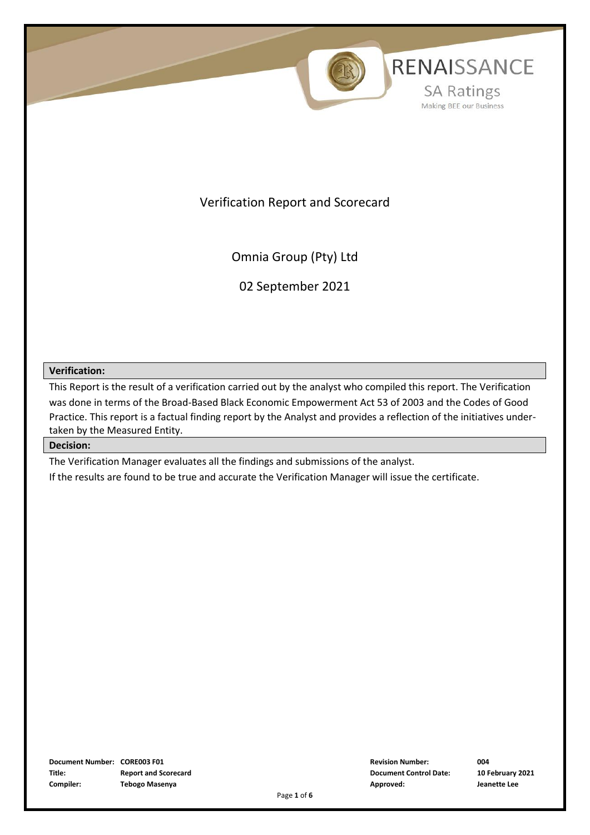

Verification Report and Scorecard

Omnia Group (Pty) Ltd

02 September 2021

#### **Verification:**

This Report is the result of a verification carried out by the analyst who compiled this report. The Verification was done in terms of the Broad-Based Black Economic Empowerment Act 53 of 2003 and the Codes of Good Practice. This report is a factual finding report by the Analyst and provides a reflection of the initiatives undertaken by the Measured Entity.

#### **Decision:**

The Verification Manager evaluates all the findings and submissions of the analyst.

If the results are found to be true and accurate the Verification Manager will issue the certificate.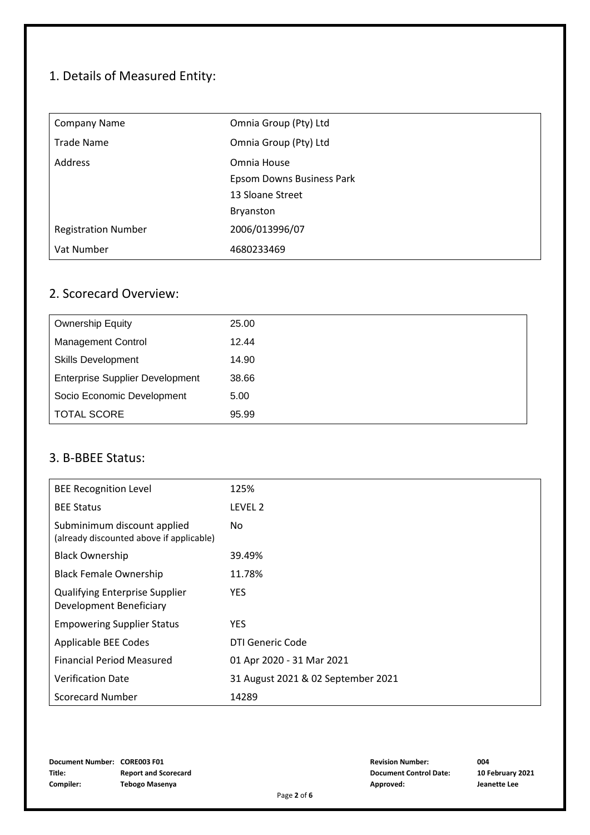# 1. Details of Measured Entity:

| <b>Company Name</b>        | Omnia Group (Pty) Ltd     |
|----------------------------|---------------------------|
| <b>Trade Name</b>          | Omnia Group (Pty) Ltd     |
| Address                    | Omnia House               |
|                            | Epsom Downs Business Park |
|                            | 13 Sloane Street          |
|                            | Bryanston                 |
| <b>Registration Number</b> | 2006/013996/07            |
| Vat Number                 | 4680233469                |

## 2. Scorecard Overview:

| <b>Ownership Equity</b>                | 25.00 |
|----------------------------------------|-------|
| <b>Management Control</b>              | 12.44 |
| <b>Skills Development</b>              | 14.90 |
| <b>Enterprise Supplier Development</b> | 38.66 |
| Socio Economic Development             | 5.00  |
| <b>TOTAL SCORE</b>                     | 95.99 |

#### 3. B-BBEE Status:

| <b>BEE Recognition Level</b>                                            | 125%                               |
|-------------------------------------------------------------------------|------------------------------------|
| <b>BEE Status</b>                                                       | LEVEL 2                            |
| Subminimum discount applied<br>(already discounted above if applicable) | No.                                |
| <b>Black Ownership</b>                                                  | 39.49%                             |
| <b>Black Female Ownership</b>                                           | 11.78%                             |
| <b>Qualifying Enterprise Supplier</b><br>Development Beneficiary        | <b>YES</b>                         |
| <b>Empowering Supplier Status</b>                                       | <b>YES</b>                         |
| Applicable BEE Codes                                                    | DTI Generic Code                   |
| <b>Financial Period Measured</b>                                        | 01 Apr 2020 - 31 Mar 2021          |
| <b>Verification Date</b>                                                | 31 August 2021 & 02 September 2021 |
| <b>Scorecard Number</b>                                                 | 14289                              |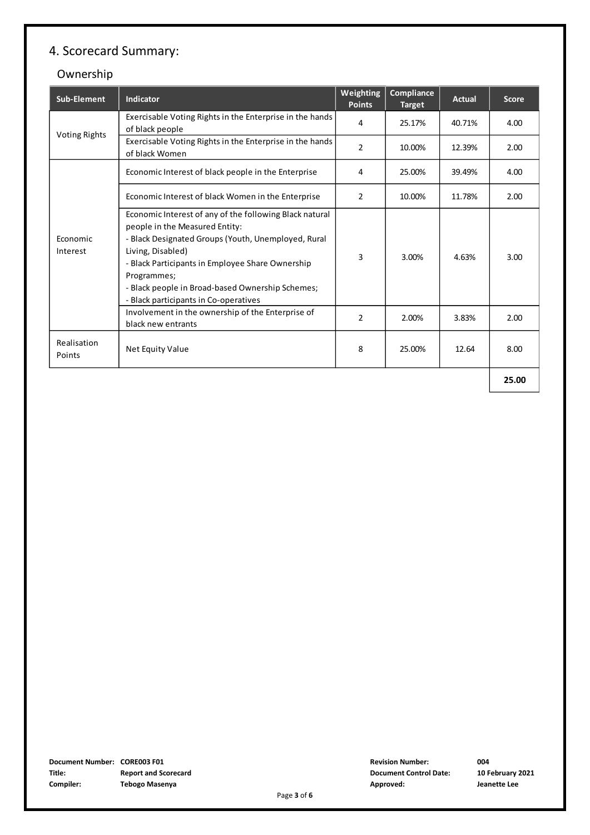# 4. Scorecard Summary:

## Ownership

| Sub-Element           | Indicator                                                                                                                                                                                                                                                                                                                             | Weighting<br><b>Points</b> | Compliance<br><b>Target</b> | <b>Actual</b> | <b>Score</b> |
|-----------------------|---------------------------------------------------------------------------------------------------------------------------------------------------------------------------------------------------------------------------------------------------------------------------------------------------------------------------------------|----------------------------|-----------------------------|---------------|--------------|
|                       | Exercisable Voting Rights in the Enterprise in the hands<br>of black people                                                                                                                                                                                                                                                           | 4                          | 25.17%                      | 40.71%        | 4.00         |
| <b>Voting Rights</b>  | Exercisable Voting Rights in the Enterprise in the hands<br>of black Women                                                                                                                                                                                                                                                            | $\overline{2}$             | 10.00%                      | 12.39%        | 2.00         |
|                       | Economic Interest of black people in the Enterprise                                                                                                                                                                                                                                                                                   | 4                          | 25.00%                      | 39.49%        | 4.00         |
|                       | Economic Interest of black Women in the Enterprise                                                                                                                                                                                                                                                                                    | 2                          | 10.00%                      | 11.78%        | 2.00         |
| Economic<br>Interest  | Economic Interest of any of the following Black natural<br>people in the Measured Entity:<br>- Black Designated Groups (Youth, Unemployed, Rural<br>Living, Disabled)<br>- Black Participants in Employee Share Ownership<br>Programmes;<br>- Black people in Broad-based Ownership Schemes;<br>- Black participants in Co-operatives | 3                          | 3.00%                       | 4.63%         | 3.00         |
|                       | Involvement in the ownership of the Enterprise of<br>black new entrants                                                                                                                                                                                                                                                               | $\overline{2}$             | 2.00%                       | 3.83%         | 2.00         |
| Realisation<br>Points | Net Equity Value                                                                                                                                                                                                                                                                                                                      | 8                          | 25.00%                      | 12.64         | 8.00         |
|                       |                                                                                                                                                                                                                                                                                                                                       |                            |                             | 25.00         |              |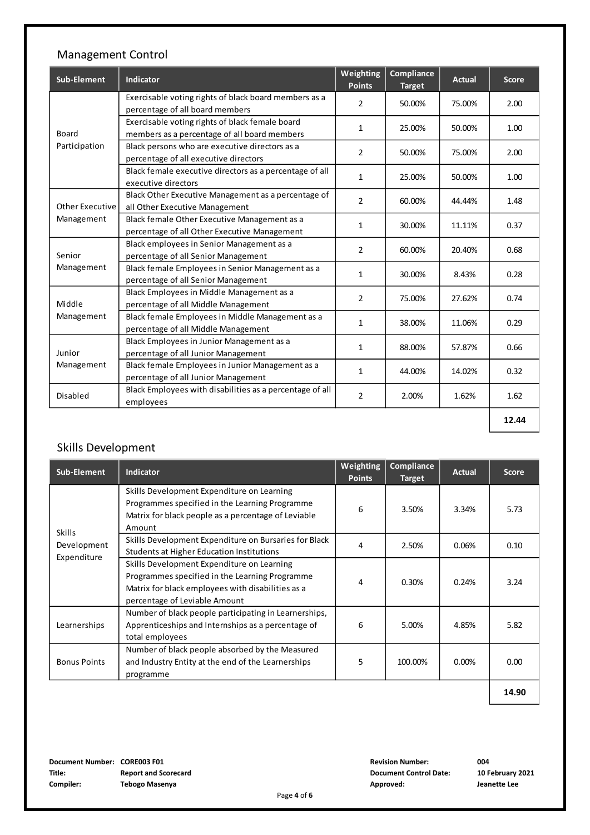## Management Control

| <b>Sub-Element</b>   | Indicator                                                | Weighting<br><b>Points</b> | Compliance<br><b>Target</b> | <b>Actual</b> | <b>Score</b> |
|----------------------|----------------------------------------------------------|----------------------------|-----------------------------|---------------|--------------|
|                      | Exercisable voting rights of black board members as a    | $\overline{2}$             | 50.00%                      | 75.00%        | 2.00         |
|                      | percentage of all board members                          |                            |                             |               |              |
|                      | Exercisable voting rights of black female board          | $\mathbf{1}$               | 25.00%                      | 50.00%        | 1.00         |
| Board                | members as a percentage of all board members             |                            |                             |               |              |
| Participation        | Black persons who are executive directors as a           | $\overline{2}$             | 50.00%                      | 75.00%        | 2.00         |
|                      | percentage of all executive directors                    |                            |                             |               |              |
|                      | Black female executive directors as a percentage of all  | $\mathbf{1}$               | 25.00%                      | 50.00%        | 1.00         |
|                      | executive directors                                      |                            |                             |               |              |
|                      | Black Other Executive Management as a percentage of      | $\overline{2}$             | 60.00%                      | 44.44%        | 1.48         |
| Other Executive      | all Other Executive Management                           |                            |                             |               |              |
| Management           | Black female Other Executive Management as a             | $\mathbf{1}$               | 30.00%                      | 11.11%        | 0.37         |
|                      | percentage of all Other Executive Management             |                            |                             |               |              |
| Senior               | Black employees in Senior Management as a                | $\overline{2}$             | 60.00%                      | 20.40%        | 0.68         |
|                      | percentage of all Senior Management                      |                            |                             |               |              |
| Management           | Black female Employees in Senior Management as a         | $\mathbf{1}$               | 30.00%                      | 8.43%         | 0.28         |
|                      | percentage of all Senior Management                      |                            |                             |               |              |
|                      | Black Employees in Middle Management as a                | $\overline{2}$             |                             | 27.62%        | 0.74         |
| Middle               | percentage of all Middle Management                      |                            | 75.00%                      |               |              |
| Management           | Black female Employees in Middle Management as a         |                            |                             |               |              |
|                      | percentage of all Middle Management                      | $\mathbf{1}$               | 38.00%                      | 11.06%        | 0.29         |
|                      | Black Employees in Junior Management as a                |                            | 88.00%                      | 57.87%        |              |
| Junior<br>Management | percentage of all Junior Management                      | $\mathbf{1}$               |                             |               | 0.66         |
|                      | Black female Employees in Junior Management as a         |                            |                             |               |              |
|                      | percentage of all Junior Management                      | $\mathbf{1}$               | 44.00%                      | 14.02%        | 0.32         |
|                      | Black Employees with disabilities as a percentage of all |                            |                             |               |              |
| Disabled             | employees                                                | $\overline{2}$             | 2.00%                       | 1.62%         | 1.62         |
|                      |                                                          |                            |                             |               | 12.44        |
|                      |                                                          |                            |                             |               |              |

## Skills Development

|                                                                                                                                                                                    | <b>Points</b> | <b>Target</b> | Actual   | <b>Score</b> |
|------------------------------------------------------------------------------------------------------------------------------------------------------------------------------------|---------------|---------------|----------|--------------|
| Skills Development Expenditure on Learning<br>Programmes specified in the Learning Programme<br>Matrix for black people as a percentage of Leviable<br>Amount                      | 6             | 3.50%         | 3.34%    | 5.73         |
| Skills Development Expenditure on Bursaries for Black<br><b>Students at Higher Education Institutions</b>                                                                          | 4             | 2.50%         | 0.06%    | 0.10         |
| Skills Development Expenditure on Learning<br>Programmes specified in the Learning Programme<br>Matrix for black employees with disabilities as a<br>percentage of Leviable Amount | 4             | 0.30%         | 0.24%    | 3.24         |
| Number of black people participating in Learnerships,<br>Apprenticeships and Internships as a percentage of<br>total employees                                                     | 6             | 5.00%         | 4.85%    | 5.82         |
| Number of black people absorbed by the Measured<br>and Industry Entity at the end of the Learnerships<br>programme                                                                 | 5             | 100.00%       | $0.00\%$ | 0.00         |
|                                                                                                                                                                                    |               |               |          |              |

 $14.90$ 

**Document Number: CORE003 F01 Title: Report and Scorecard Document Control Date: 10 February 2021 Compiler: Tebogo Maseny**

**Revision Number: a Approved: Jeanette Lee**

**4**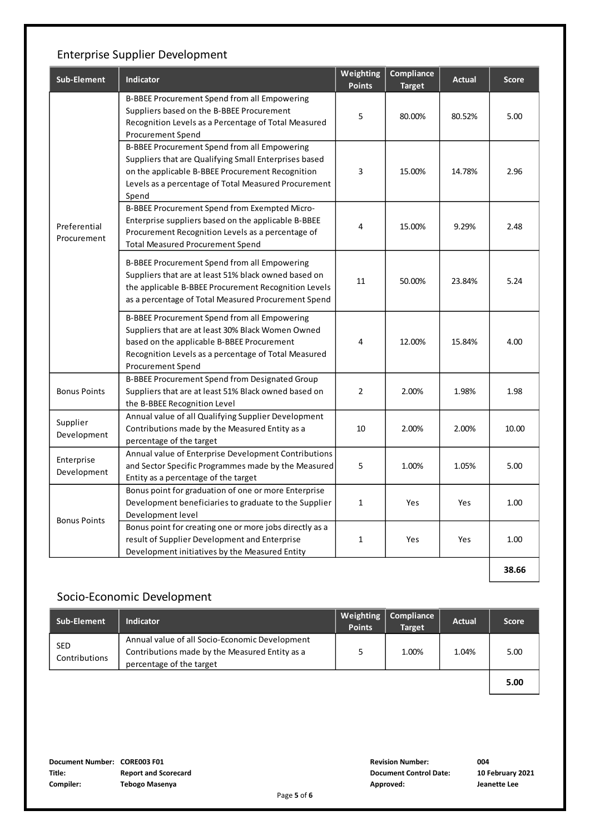## Enterprise Supplier Development

| Sub-Element                 | Indicator                                                                                                                                                                                                                           | Weighting<br><b>Points</b> | Compliance<br><b>Target</b> | <b>Actual</b> | <b>Score</b> |
|-----------------------------|-------------------------------------------------------------------------------------------------------------------------------------------------------------------------------------------------------------------------------------|----------------------------|-----------------------------|---------------|--------------|
|                             | B-BBEE Procurement Spend from all Empowering<br>Suppliers based on the B-BBEE Procurement<br>Recognition Levels as a Percentage of Total Measured<br><b>Procurement Spend</b>                                                       | 5                          | 80.00%                      | 80.52%        | 5.00         |
|                             | <b>B-BBEE Procurement Spend from all Empowering</b><br>Suppliers that are Qualifying Small Enterprises based<br>on the applicable B-BBEE Procurement Recognition<br>Levels as a percentage of Total Measured Procurement<br>Spend   | 3                          | 15.00%                      | 14.78%        | 2.96         |
| Preferential<br>Procurement | B-BBEE Procurement Spend from Exempted Micro-<br>Enterprise suppliers based on the applicable B-BBEE<br>Procurement Recognition Levels as a percentage of<br><b>Total Measured Procurement Spend</b>                                | 4                          | 15.00%                      | 9.29%         | 2.48         |
|                             | B-BBEE Procurement Spend from all Empowering<br>Suppliers that are at least 51% black owned based on<br>the applicable B-BBEE Procurement Recognition Levels<br>as a percentage of Total Measured Procurement Spend                 | 11                         | 50.00%                      | 23.84%        | 5.24         |
|                             | B-BBEE Procurement Spend from all Empowering<br>Suppliers that are at least 30% Black Women Owned<br>based on the applicable B-BBEE Procurement<br>Recognition Levels as a percentage of Total Measured<br><b>Procurement Spend</b> | 4                          | 12.00%                      | 15.84%        | 4.00         |
| <b>Bonus Points</b>         | B-BBEE Procurement Spend from Designated Group<br>Suppliers that are at least 51% Black owned based on<br>the B-BBEE Recognition Level                                                                                              | $\overline{2}$             | 2.00%                       | 1.98%         | 1.98         |
| Supplier<br>Development     | Annual value of all Qualifying Supplier Development<br>Contributions made by the Measured Entity as a<br>percentage of the target                                                                                                   | 10                         | 2.00%                       | 2.00%         | 10.00        |
| Enterprise<br>Development   | Annual value of Enterprise Development Contributions<br>and Sector Specific Programmes made by the Measured<br>Entity as a percentage of the target                                                                                 | 5                          | 1.00%                       | 1.05%         | 5.00         |
| <b>Bonus Points</b>         | Bonus point for graduation of one or more Enterprise<br>Development beneficiaries to graduate to the Supplier<br>Development level                                                                                                  | 1                          | Yes                         | Yes           | 1.00         |
|                             | Bonus point for creating one or more jobs directly as a<br>result of Supplier Development and Enterprise<br>Development initiatives by the Measured Entity                                                                          | $\mathbf{1}$               | Yes                         | Yes           | 1.00         |
|                             |                                                                                                                                                                                                                                     |                            |                             |               | 38.66        |

#### Socio-Economic Development

| Sub-Element                 | <b>Indicator</b>                                                                                                             | Weighting<br><b>Points</b> | Compliance<br><b>Target</b> | <b>Actual</b> | <b>Score</b> |
|-----------------------------|------------------------------------------------------------------------------------------------------------------------------|----------------------------|-----------------------------|---------------|--------------|
| <b>SED</b><br>Contributions | Annual value of all Socio-Economic Development<br>Contributions made by the Measured Entity as a<br>percentage of the target |                            | 1.00%                       | 1.04%         | 5.00         |
|                             |                                                                                                                              |                            |                             |               | 5.00         |

**Document Number: CORE003 F01 Title: Report and Scorecard Document Control Date: 10 February 2021 Compiler: Tebogo Maseny**

**Revision Number: a Approved: Jeanette Lee**